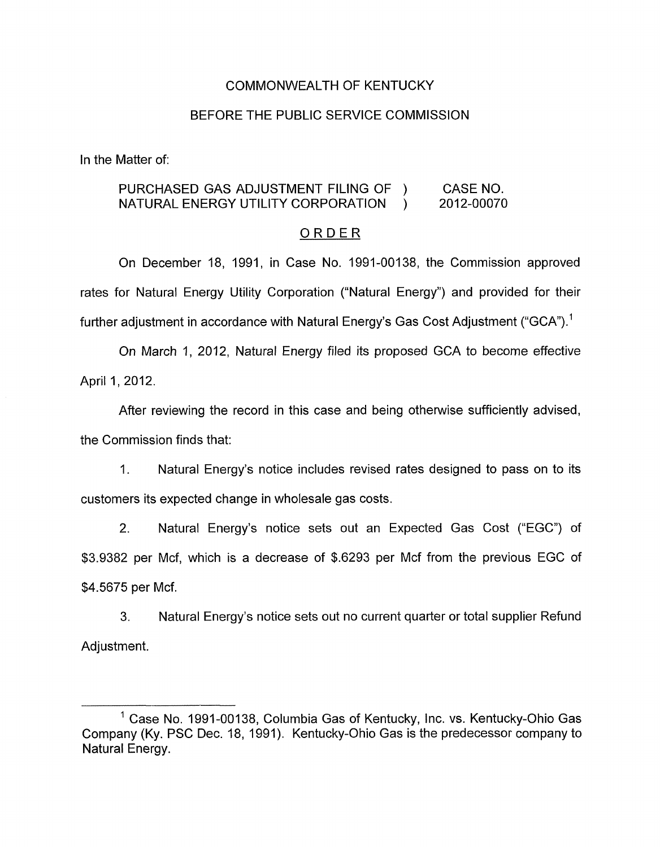## COMMONWEALTH OF KENTUCKY

## BEFORE THE PUBLIC SERVICE COMMISSION

In the Matter of:

# PURCHASED GAS ADJUSTMENT FILING OF ) CASE NO. NATURAL ENERGY UTILITY CORPORATION ) 2012-00070

#### ORDER

On December 18, 1991, in Case No. 1991-00138, the Commission approved rates for Natural Energy Utility Corporation ("Natural Energy") and provided for their further adjustment in accordance with Natural Energy's Gas Cost Adjustment ("GCA").<sup>1</sup>

On March 1, 2012, Natural Energy filed its proposed GCA to become effective April 1, 2012.

After reviewing the record in this case and being otherwise sufficiently advised, the Commission finds that:

1. Natural Energy's notice includes revised rates designed to pass on to its customers its expected change in wholesale gas costs.

2. Natural Energy's notice sets out an Expected Gas Cost ("EGC") of \$3.9382 per Mcf, which is a decrease of \$.6293 per Mcf from the previous EGC of \$4.5675 per Mcf.

3. Natural Energy's notice sets out no current quarter or total supplier Refund Adjustment.

<sup>&</sup>lt;sup>1</sup> Case No. 1991-00138, Columbia Gas of Kentucky, Inc. vs. Kentucky-Ohio Gas Company (Ky. PSC Dec. 18, 1991). Kentucky-Ohio Gas is the predecessor company to Natural Energy.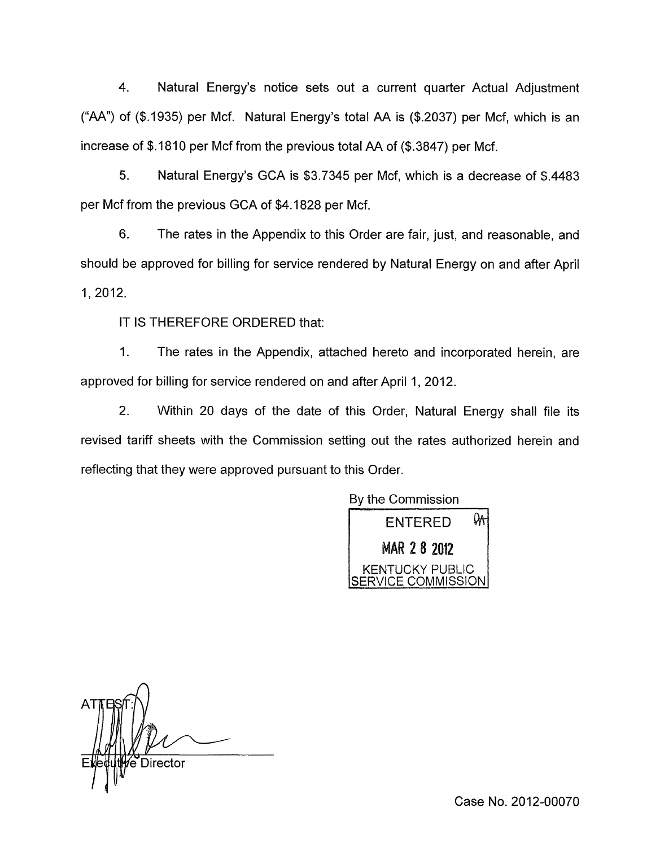4. Natural Energy's notice sets out a current quarter Actual Adjustment ("AA") of (\$.1935) per Mcf. Natural Energy's total AA is (\$2037) per Mcf, which is an increase of \$.1810 per Mcf from the previous total AA of (\$.3847) per Mcf.

5. Natural Energy's GCA is \$3.7345 per Mcf, which is a decrease of \$4483 per Mcf from the previous GCA of \$4.1828 per Mcf.

6. The rates in the Appendix to this Order are fair, just, and reasonable, and should be approved for billing for service rendered by Natural Energy on and after April 1, 2012.

IT **IS** THEREFORE ORDERED that:

1. The rates in the Appendix, attached hereto and incorporated herein, are approved for billing for service rendered on and after April 1, 2012.

2. Within 20 days of the date of this Order, Natural Energy shall file its revised tariff sheets with the Commission setting out the rates authorized herein and reflecting that they were approved pursuant to this Order.



e Director

Case No. 2012-00070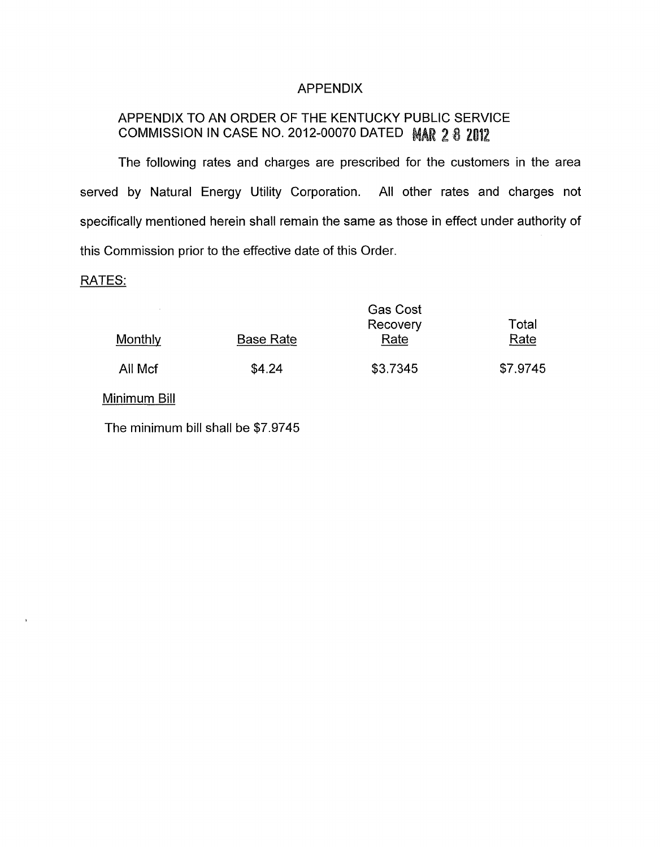# APPENDIX

# APPENDIX TO AN ORDER OF THE KENTUCKY PUBLIC SERVICE COMMISSION IN CASE NO. 2012-00070 DATED MAR 2 8 2012

The following rates and charges are prescribed for the customers in the area served by Natural Energy Utility Corporation. All other rates and charges not specifically mentioned herein shall remain the same as those in effect under authority of this Commission prior to the effective date of this Order.

### RATES:

 $\alpha$ 

|         |                  | <b>Gas Cost</b><br>Recovery | Total    |
|---------|------------------|-----------------------------|----------|
| Monthly | <b>Base Rate</b> | Rate                        | Rate     |
| All Mcf | \$4.24           | \$3.7345                    | \$7.9745 |

Minimum Bill

The minimum bill shall be \$7.9745